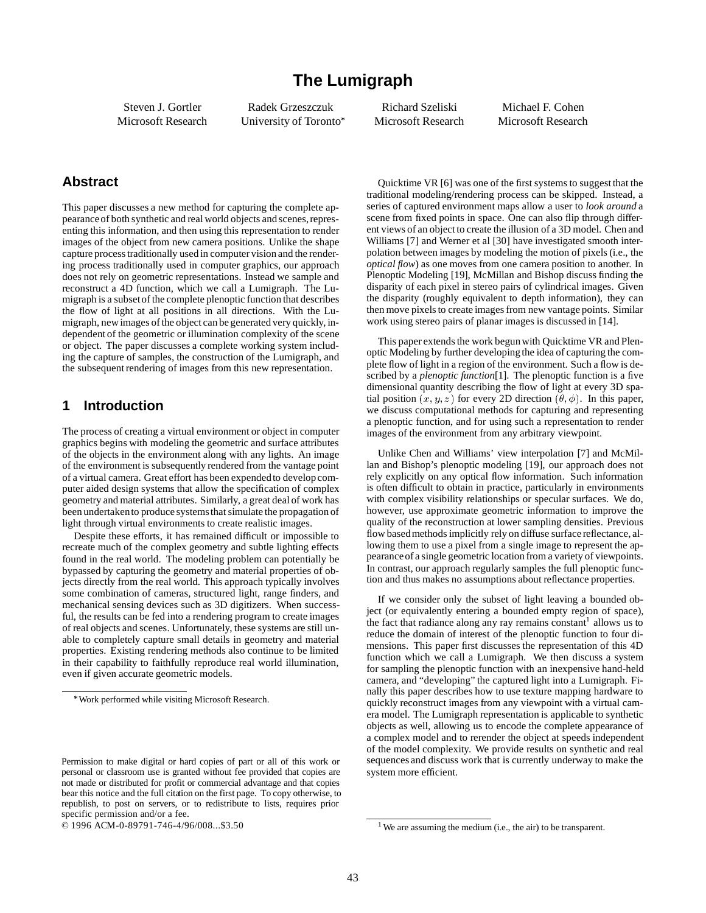Steven J. Gortler Microsoft Research

Radek Grzeszczuk University of Toronto

Richard Szeliski Microsoft Research

Michael F. Cohen Microsoft Research

# **Abstract**

This paper discusses a new method for capturing the complete appearanceof both synthetic and real world objects and scenes,representing this information, and then using this representation to render images of the object from new camera positions. Unlike the shape capture process traditionally used in computer vision and the rendering process traditionally used in computer graphics, our approach does not rely on geometric representations. Instead we sample and reconstruct a 4D function, which we call a Lumigraph. The Lumigraph is a subsetof the complete plenoptic function that describes the flow of light at all positions in all directions. With the Lumigraph, new images of the object can be generated very quickly, independent of the geometric or illumination complexity of the scene or object. The paper discusses a complete working system including the capture of samples, the construction of the Lumigraph, and the subsequent rendering of images from this new representation.

# **1 Introduction**

The process of creating a virtual environment or object in computer graphics begins with modeling the geometric and surface attributes of the objects in the environment along with any lights. An image of the environment is subsequently rendered from the vantage point of a virtual camera. Great effort has been expendedto develop computer aided design systems that allow the specification of complex geometry and material attributes. Similarly, a great deal of work has been undertaken to produce systems that simulate the propagation of light through virtual environments to create realistic images.

Despite these efforts, it has remained difficult or impossible to recreate much of the complex geometry and subtle lighting effects found in the real world. The modeling problem can potentially be bypassed by capturing the geometry and material properties of objects directly from the real world. This approach typically involves some combination of cameras, structured light, range finders, and mechanical sensing devices such as 3D digitizers. When successful, the results can be fed into a rendering program to create images of real objects and scenes. Unfortunately, these systems are still unable to completely capture small details in geometry and material properties. Existing rendering methods also continue to be limited in their capability to faithfully reproduce real world illumination, even if given accurate geometric models.

Quicktime VR [6] was one of the first systems to suggest that the traditional modeling/rendering process can be skipped. Instead, a series of captured environment maps allow a user to *look around* a scene from fixed points in space. One can also flip through different views of an object to create the illusion of a 3D model. Chen and Williams [7] and Werner et al [30] have investigated smooth interpolation between images by modeling the motion of pixels (i.e., the *optical flow*) as one moves from one camera position to another. In Plenoptic Modeling [19], McMillan and Bishop discuss finding the disparity of each pixel in stereo pairs of cylindrical images. Given the disparity (roughly equivalent to depth information), they can then move pixels to create images from new vantage points. Similar work using stereo pairs of planar images is discussed in [14].

This paper extends the work begun with Quicktime VR and Plenoptic Modeling by further developing the idea of capturing the complete flow of light in a region of the environment. Such a flow is described by a *plenoptic function*[1]. The plenoptic function is a five dimensional quantity describing the flow of light at every 3D spatial position  $(x, y, z)$  for every 2D direction  $(\theta, \phi)$ . In this paper, we discuss computational methods for capturing and representing a plenoptic function, and for using such a representation to render images of the environment from any arbitrary viewpoint.

Unlike Chen and Williams' view interpolation [7] and McMillan and Bishop's plenoptic modeling [19], our approach does not rely explicitly on any optical flow information. Such information is often difficult to obtain in practice, particularly in environments with complex visibility relationships or specular surfaces. We do, however, use approximate geometric information to improve the quality of the reconstruction at lower sampling densities. Previous flow basedmethods implicitly rely on diffuse surface reflectance, allowing them to use a pixel from a single image to represent the appearanceof a single geometric location from a variety of viewpoints. In contrast, our approach regularly samples the full plenoptic function and thus makes no assumptions about reflectance properties.

If we consider only the subset of light leaving a bounded object (or equivalently entering a bounded empty region of space), the fact that radiance along any ray remains constant<sup>1</sup> allows us to reduce the domain of interest of the plenoptic function to four dimensions. This paper first discusses the representation of this 4D function which we call a Lumigraph. We then discuss a system for sampling the plenoptic function with an inexpensive hand-held camera, and "developing" the captured light into a Lumigraph. Finally this paper describes how to use texture mapping hardware to quickly reconstruct images from any viewpoint with a virtual camera model. The Lumigraph representation is applicable to synthetic objects as well, allowing us to encode the complete appearance of a complex model and to rerender the object at speeds independent of the model complexity. We provide results on synthetic and real sequences and discuss work that is currently underway to make the system more efficient.

Work performed while visiting Microsoft Research.

Permission to make digital or hard copies of part or all of this work or personal or classroom use is granted without fee provided that copies are not made or distributed for profit or commercial advantage and that copies bear this notice and the full citation on the first page. To copy otherwise, to republish, to post on servers, or to redistribute to lists, requires prior specific permission and/or a fee.

<sup>© 1996</sup> ACM-0-89791-746-4/96/008...\$3.50

<sup>&</sup>lt;sup>1</sup>We are assuming the medium (i.e., the air) to be transparent.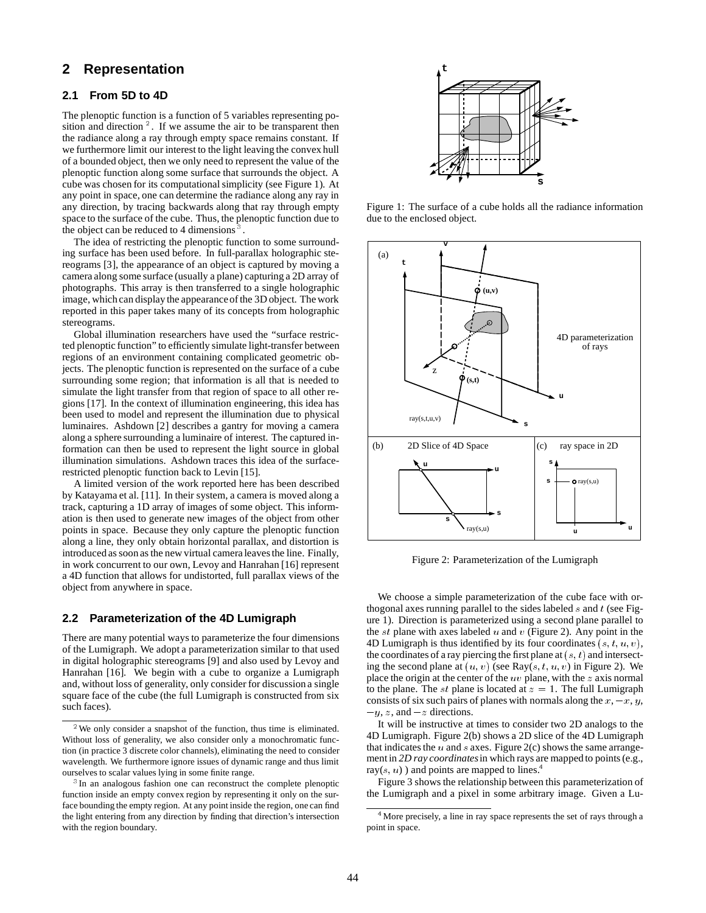# **2 Representation**

# **2.1 From 5D to 4D**

The plenoptic function is a function of 5 variables representing position and direction  $2$ . If we assume the air to be transparent then the radiance along a ray through empty space remains constant. If we furthermore limit our interest to the light leaving the convex hull of a bounded object, then we only need to represent the value of the plenoptic function along some surface that surrounds the object. A cube was chosen for its computational simplicity (see Figure 1). At any point in space, one can determine the radiance along any ray in any direction, by tracing backwards along that ray through empty space to the surface of the cube. Thus, the plenoptic function due to the object can be reduced to 4 dimensions<sup>3</sup> .

The idea of restricting the plenoptic function to some surrounding surface has been used before. In full-parallax holographic stereograms [3], the appearance of an object is captured by moving a camera along some surface (usually a plane) capturing a 2D array of photographs. This array is then transferred to a single holographic image, which can display the appearanceof the 3D object. The work reported in this paper takes many of its concepts from holographic stereograms.

Global illumination researchers have used the "surface restricted plenoptic function" to efficiently simulate light-transfer between regions of an environment containing complicated geometric objects. The plenoptic function is represented on the surface of a cube surrounding some region; that information is all that is needed to simulate the light transfer from that region of space to all other regions [17]. In the context of illumination engineering, this idea has been used to model and represent the illumination due to physical luminaires. Ashdown [2] describes a gantry for moving a camera along a sphere surrounding a luminaire of interest. The captured information can then be used to represent the light source in global illumination simulations. Ashdown traces this idea of the surfacerestricted plenoptic function back to Levin [15].

A limited version of the work reported here has been described by Katayama et al. [11]. In their system, a camera is moved along a track, capturing a 1D array of images of some object. This information is then used to generate new images of the object from other points in space. Because they only capture the plenoptic function along a line, they only obtain horizontal parallax, and distortion is introduced as soon as the new virtual camera leaves the line. Finally, in work concurrent to our own, Levoy and Hanrahan [16] represent a 4D function that allows for undistorted, full parallax views of the object from anywhere in space.

## **2.2 Parameterization of the 4D Lumigraph**

There are many potential ways to parameterize the four dimensions of the Lumigraph. We adopt a parameterization similar to that used in digital holographic stereograms [9] and also used by Levoy and Hanrahan [16]. We begin with a cube to organize a Lumigraph and, without loss of generality, only consider for discussion a single square face of the cube (the full Lumigraph is constructed from six such faces).



Figure 1: The surface of a cube holds all the radiance information due to the enclosed object.



Figure 2: Parameterization of the Lumigraph

We choose a simple parameterization of the cube face with orthogonal axes running parallel to the sides labeled  $s$  and  $t$  (see Figure 1). Direction is parameterized using a second plane parallel to the st plane with axes labeled u and v (Figure 2). Any point in the 4D Lumigraph is thus identified by its four coordinates  $(s, t, u, v)$ , the coordinates of a ray piercing the first plane at  $(s, t)$  and intersecting the second plane at  $(u, v)$  (see Ray(s, t, u, v) in Figure 2). We place the origin at the center of the  $uv$  plane, with the z axis normal to the plane. The st plane is located at  $z = 1$ . The full Lumigraph consists of six such pairs of planes with normals along the  $x, -x, y$ ,  $-y$ , z, and  $-z$  directions.

It will be instructive at times to consider two 2D analogs to the 4D Lumigraph. Figure 2(b) shows a 2D slice of the 4D Lumigraph that indicates the  $u$  and  $s$  axes. Figure 2(c) shows the same arrangement in *2D ray coordinates*in which rays are mapped to points (e.g., ray(s, u)) and points are mapped to lines.<sup>4</sup>

Figure 3 shows the relationship between this parameterization of the Lumigraph and a pixel in some arbitrary image. Given a Lu-

<sup>&</sup>lt;sup>2</sup>We only consider a snapshot of the function, thus time is eliminated. Without loss of generality, we also consider only a monochromatic function (in practice 3 discrete color channels), eliminating the need to consider wavelength. We furthermore ignore issues of dynamic range and thus limit ourselves to scalar values lying in some finite range.

<sup>3</sup> In an analogous fashion one can reconstruct the complete plenoptic function inside an empty convex region by representing it only on the surface bounding the empty region. At any point inside the region, one can find the light entering from any direction by finding that direction's intersection with the region boundary.

<sup>&</sup>lt;sup>4</sup>More precisely, a line in ray space represents the set of rays through a point in space.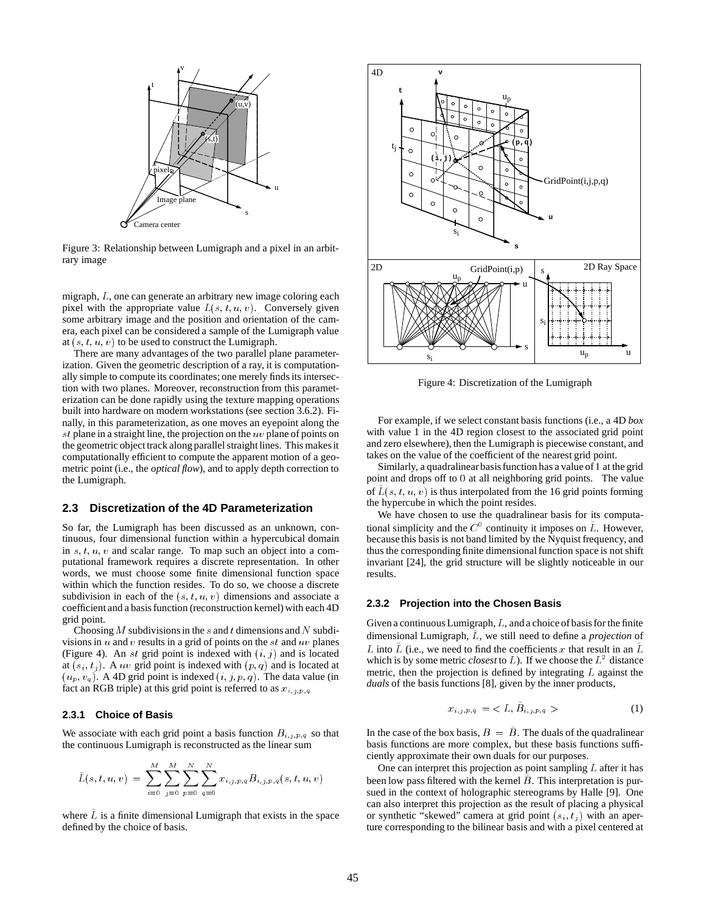

Figure 3: Relationship between Lumigraph and a pixel in an arbitrary image

migraph, <sup>L</sup>, one can generate an arbitrary new image coloring each pixel with the appropriate value  $L(s, t, u, v)$ . Conversely given some arbitrary image and the position and orientation of the camera, each pixel can be considered a sample of the Lumigraph value at  $(s, t, u, v)$  to be used to construct the Lumigraph.

There are many advantages of the two parallel plane parameterization. Given the geometric description of a ray, it is computationally simple to compute its coordinates; one merely finds its intersection with two planes. Moreover, reconstruction from this parameterization can be done rapidly using the texture mapping operations built into hardware on modern workstations (see section 3.6.2). Finally, in this parameterization, as one moves an eyepoint along the st plane in a straight line, the projection on the uv plane of points on the geometric object track along parallel straight lines. This makesit computationally efficient to compute the apparent motion of a geometric point (i.e., the *optical flow*), and to apply depth correction to the Lumigraph.

## **2.3 Discretization of the 4D Parameterization**

So far, the Lumigraph has been discussed as an unknown, continuous, four dimensional function within a hypercubical domain in  $s, t, u, v$  and scalar range. To map such an object into a computational framework requires a discrete representation. In other words, we must choose some finite dimensional function space within which the function resides. To do so, we choose a discrete subdivision in each of the  $(s, t, u, v)$  dimensions and associate a coefficient and a basis function (reconstruction kernel) with each 4D grid point.

Choosing M subdivisions in the s and t dimensions and N subdivisions in u and v results in a grid of points on the  $st$  and uv planes (Figure 4). An st grid point is indexed with  $(i, j)$  and is located at  $(s_i, t_j)$ . A uv grid point is indexed with  $(p, q)$  and is located at  $(u_p, v_q)$ . A 4D grid point is indexed  $(i, j, p, q)$ . The data value (in fact an RGB triple) at this grid point is referred to as  $x_{i,j,p,q}$ 

### **2.3.1 Choice of Basis**

We associate with each grid point a basis function  $B_{i,j,p,q}$  so that the continuous Lumigraph is reconstructed as the linear sum

$$
\tilde{L}(s,t,u,v) = \sum_{i=0}^{M} \sum_{j=0}^{M} \sum_{p=0}^{N} \sum_{q=0}^{N} x_{i,j,p,q} B_{i,j,p,q}(s,t,u,v)
$$

where  $\hat{L}$  is a finite dimensional Lumigraph that exists in the space defined by the choice of basis.



Figure 4: Discretization of the Lumigraph

For example, if we select constant basis functions (i.e., a 4D *box* with value 1 in the 4D region closest to the associated grid point and zero elsewhere), then the Lumigraph is piecewise constant, and takes on the value of the coefficient of the nearest grid point.

Similarly, a quadralinearbasis function has a value of <sup>1</sup> at the grid point and drops off to <sup>0</sup> at all neighboring grid points. The value of  $L(s, t, u, v)$  is thus interpolated from the 16 grid points forming the hypercube in which the point resides.

We have chosen to use the quadralinear basis for its computational simplicity and the  $C^0$  continuity it imposes on L. However, because this basis is not band limited by the Nyquist frequency, and thus the corresponding finite dimensional function space is not shift invariant [24], the grid structure will be slightly noticeable in our results.

### **2.3.2 Projection into the Chosen Basis**

Given a continuous Lumigraph,  $L$ , and a choice of basis for the finite dimensional Lumigraph, L~ , we still need to define a *projection* of L into L (i.e., we need to find the coefficients x that result in an L which is by some metric *closest* to  $L$ ). If we choose the  $L^2$  distance metric, then the projection is defined by integrating  $L$  against the *duals* of the basis functions [8], given by the inner products,

$$
x_{i,j,p,q} = \langle L, B_{i,j,p,q} \rangle \tag{1}
$$

In the case of the box basis,  $B = B$ . The duals of the quadralinear basis functions are more complex, but these basis functions sufficiently approximate their own duals for our purposes.

One can interpret this projection as point sampling  $L$  after it has been low pass filtered with the kernel  $\tilde{B}$ . This interpretation is pursued in the context of holographic stereograms by Halle [9]. One can also interpret this projection as the result of placing a physical or synthetic "skewed" camera at grid point  $(s_i, t_j)$  with an aperture corresponding to the bilinear basis and with a pixel centered at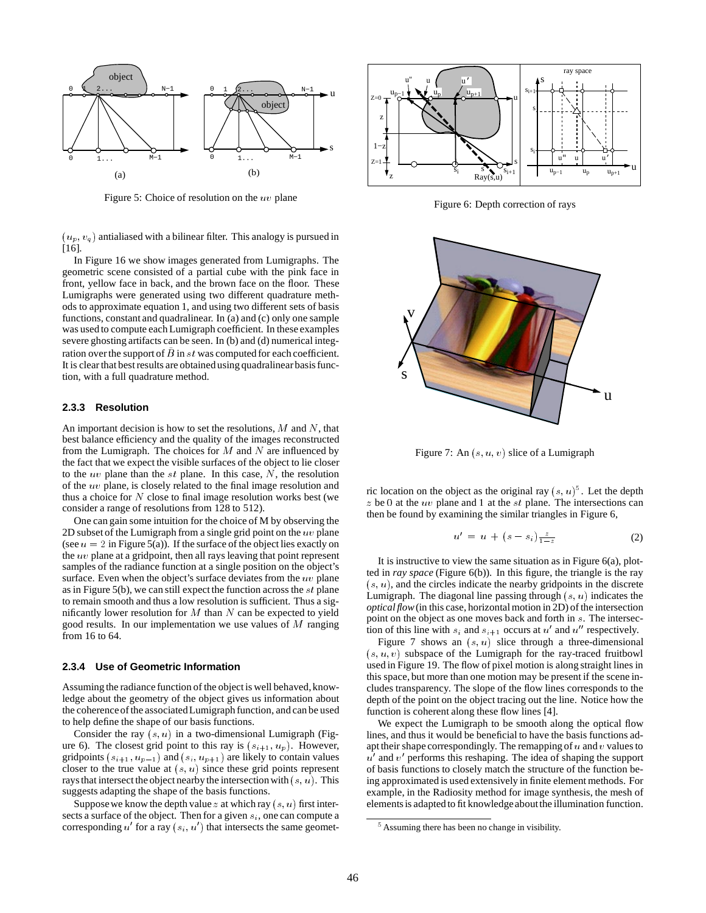

Figure 5: Choice of resolution on the  $uv$  plane

 $(u_p, v_q)$  antialiased with a bilinear filter. This analogy is pursued in [16].

In Figure 16 we show images generated from Lumigraphs. The geometric scene consisted of a partial cube with the pink face in front, yellow face in back, and the brown face on the floor. These Lumigraphs were generated using two different quadrature methods to approximate equation 1, and using two different sets of basis functions, constant and quadralinear. In (a) and (c) only one sample was used to compute each Lumigraph coefficient. In these examples severe ghosting artifacts can be seen. In (b) and (d) numerical integration over the support of  $\tilde{B}$  in st was computed for each coefficient. It is clear that best results are obtained using quadralinearbasis function, with a full quadrature method.

### **2.3.3 Resolution**

An important decision is how to set the resolutions,  $M$  and  $N$ , that best balance efficiency and the quality of the images reconstructed from the Lumigraph. The choices for  $M$  and  $N$  are influenced by the fact that we expect the visible surfaces of the object to lie closer to the uv plane than the st plane. In this case,  $N$ , the resolution of the uv plane, is closely related to the final image resolution and thus a choice for  $N$  close to final image resolution works best (we consider a range of resolutions from 128 to 512).

One can gain some intuition for the choice of M by observing the 2D subset of the Lumigraph from a single grid point on the  $uv$  plane (see  $u = 2$  in Figure 5(a)). If the surface of the object lies exactly on the  $uv$  plane at a gridpoint, then all rays leaving that point represent samples of the radiance function at a single position on the object's surface. Even when the object's surface deviates from the  $uv$  plane as in Figure 5(b), we can still expect the function across the  $st$  plane to remain smooth and thus a low resolution is sufficient. Thus a significantly lower resolution for  $M$  than  $N$  can be expected to yield good results. In our implementation we use values of  $M$  ranging from 16 to 64.

#### **2.3.4 Use of Geometric Information**

Assuming the radiance function of the object is well behaved, knowledge about the geometry of the object gives us information about the coherence of the associated Lumigraph function, and can be used to help define the shape of our basis functions.

Consider the ray  $(s, u)$  in a two-dimensional Lumigraph (Figure 6). The closest grid point to this ray is  $(s_{i+1}, u_p)$ . However, gridpoints  $(s_{i+1}, u_{p-1})$  and  $(s_i, u_{p+1})$  are likely to contain values closer to the true value at  $(s, u)$  since these grid points represent rays that intersect the object nearby the intersection with  $(s, u)$ . This suggests adapting the shape of the basis functions.

Suppose we know the depth value z at which ray  $(s, u)$  first intersects a surface of the object. Then for a given  $s_i$ , one can compute a corresponding u' for a ray  $(s_i, u')$  that intersects the same geomet-



Figure 6: Depth correction of rays



Figure 7: An  $(s, u, v)$  slice of a Lumigraph

ric location on the object as the original ray  $(s, u)$ <sup>5</sup>. Let the depth  $z$  be 0 at the uv plane and 1 at the st plane. The intersections can then be found by examining the similar triangles in Figure 6,

$$
u' = u + (s - s_i) \frac{z}{1 - z} \tag{2}
$$

It is instructive to view the same situation as in Figure  $6(a)$ , plotted in *ray space* (Figure 6(b)). In this figure, the triangle is the ray  $(s, u)$ , and the circles indicate the nearby gridpoints in the discrete Lumigraph. The diagonal line passing through  $(s, u)$  indicates the *optical flow*(in this case, horizontal motion in 2D) of the intersection point on the object as one moves back and forth in <sup>s</sup>. The intersection of this line with  $s_i$  and  $s_{i+1}$  occurs at u' and u'' respectively.

Figure 7 shows an  $(s, u)$  slice through a three-dimensional  $(s, u, v)$  subspace of the Lumigraph for the ray-traced fruitbowl used in Figure 19. The flow of pixel motion is along straight lines in this space, but more than one motion may be present if the scene includes transparency. The slope of the flow lines corresponds to the depth of the point on the object tracing out the line. Notice how the function is coherent along these flow lines [4].

We expect the Lumigraph to be smooth along the optical flow lines, and thus it would be beneficial to have the basis functions adapt their shape correspondingly. The remapping of  $u$  and  $v$  values to  $u'$  and  $v'$  performs this reshaping. The idea of shaping the support of basis functions to closely match the structure of the function being approximated is used extensively in finite element methods. For example, in the Radiosity method for image synthesis, the mesh of elements is adapted to fit knowledgeaboutthe illumination function.

<sup>&</sup>lt;sup>5</sup> Assuming there has been no change in visibility.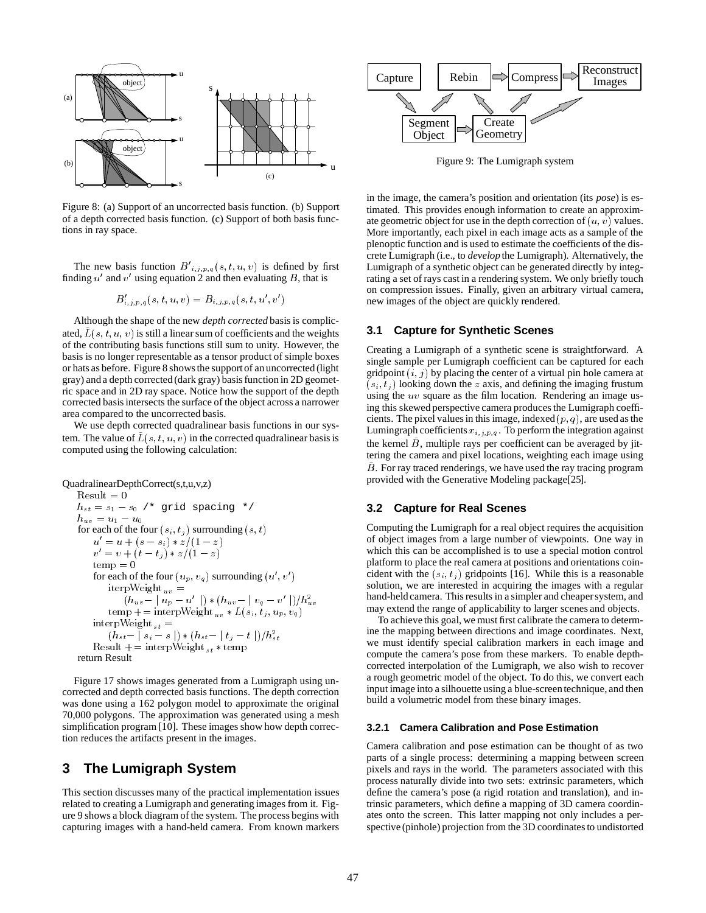

Figure 8: (a) Support of an uncorrected basis function. (b) Support of a depth corrected basis function. (c) Support of both basis functions in ray space.

The new basis function  $B'_{i,j,p,q}(s,t,u,v)$  is defined by first finding  $u'$  and  $v'$  using equation 2 and then evaluating  $B$ , that is

$$
B'_{i,j,p,q}(s,t,u,v)=B_{i,j,p,q}(s,t,u',v')\quad
$$

Although the shape of the new *depth corrected* basis is complicated,  $\hat{L}(s, t, u, v)$  is still a linear sum of coefficients and the weights of the contributing basis functions still sum to unity. However, the basis is no longer representable as a tensor product of simple boxes or hats as before. Figure 8 shows the supportof an uncorrected (light gray) and a depth corrected (dark gray) basis function in 2D geometric space and in 2D ray space. Notice how the support of the depth corrected basis intersects the surface of the object across a narrower area compared to the uncorrected basis.

We use depth corrected quadralinear basis functions in our system. The value of  $L(s, t, u, v)$  in the corrected quadralinear basis is computed using the following calculation:

#### QuadralinearDepthCorrect(s,t,u,v,z)

 $Result = 0$  $h_{st} = s_1 - s_0$  /\* grid spacing \*/  $m_{u}$   $\sim$  1  $\sim$  0 for each of the four  $(s_i, t_j)$  surrounding  $(s, t)$  $u = u + (s - s_i) * z/(1 - z)$  $v = v + (t - t_j) * z/(1 - z)$  $temp = 0$ for each of the four  $(u_p, v_q)$  surrounding  $(u', v')$ iterpWeightuv <sup>=</sup> (huv j up u0 j) (huv j vq <sup>v</sup> 0 j)=h2uv temp  $+$  = interpweight<sub>uv</sub>  $*$   $L(s_i, t_j, u_p, v_q)$  $\mathbf{r}$  =  $\mathbf{r}$  =  $\mathbf{r}$  =  $\mathbf{r}$  =  $\mathbf{r}$  =  $\mathbf{r}$  =  $\mathbf{r}$  =  $\mathbf{r}$  =  $\mathbf{r}$  =  $\mathbf{r}$  =  $\mathbf{r}$  =  $\mathbf{r}$  =  $\mathbf{r}$  =  $\mathbf{r}$  =  $\mathbf{r}$  =  $\mathbf{r}$  =  $\mathbf{r}$  =  $\mathbf{r}$  =  $\mathbf{r}$  =  $\mathbf{r}$  =  $(n_{st} - |s_i - s|) * (n_{st} - |t_j - t|)/n_{st}$ <br>and  $t =$  interp. Weight  $\ldots$  as temp  $t = \text{m}$  and  $t = \text{m}$  are  $s_t$   $\cdot$  temp return Result

Figure 17 shows images generated from a Lumigraph using uncorrected and depth corrected basis functions. The depth correction was done using a 162 polygon model to approximate the original 70,000 polygons. The approximation was generated using a mesh simplification program [10]. These images show how depth correction reduces the artifacts present in the images.

## **3 The Lumigraph System**

This section discusses many of the practical implementation issues related to creating a Lumigraph and generating images from it. Figure 9 shows a block diagram of the system. The process begins with capturing images with a hand-held camera. From known markers



Figure 9: The Lumigraph system

in the image, the camera's position and orientation (its *pose*) is estimated. This provides enough information to create an approximate geometric object for use in the depth correction of  $(u, v)$  values. More importantly, each pixel in each image acts as a sample of the plenoptic function and is used to estimate the coefficients of the discrete Lumigraph (i.e., to *develop* the Lumigraph). Alternatively, the Lumigraph of a synthetic object can be generated directly by integrating a set of rays cast in a rendering system. We only briefly touch on compression issues. Finally, given an arbitrary virtual camera, new images of the object are quickly rendered.

### **3.1 Capture for Synthetic Scenes**

Creating a Lumigraph of a synthetic scene is straightforward. A single sample per Lumigraph coefficient can be captured for each gridpoint  $(i, j)$  by placing the center of a virtual pin hole camera at  $(s_i, t_j)$  looking down the z axis, and defining the imaging frustum using the  $uv$  square as the film location. Rendering an image using this skewed perspective camera produces the Lumigraph coefficients. The pixel values in this image, indexed  $(p, q)$ , are used as the Lumingraph coefficients  $x_{i,j,p,q}$ . To perform the integration against the kernel  $\ddot{B}$ , multiple rays per coefficient can be averaged by jittering the camera and pixel locations, weighting each image using  $\ddot{B}$ . For ray traced renderings, we have used the ray tracing program provided with the Generative Modeling package[25].

### **3.2 Capture for Real Scenes**

Computing the Lumigraph for a real object requires the acquisition of object images from a large number of viewpoints. One way in which this can be accomplished is to use a special motion control platform to place the real camera at positions and orientations coincident with the  $(s_i, t_j)$  gridpoints [16]. While this is a reasonable solution, we are interested in acquiring the images with a regular hand-held camera. This results in a simpler and cheapersystem, and may extend the range of applicability to larger scenes and objects.

To achieve this goal, we must first calibrate the camera to determine the mapping between directions and image coordinates. Next, we must identify special calibration markers in each image and compute the camera's pose from these markers. To enable depthcorrected interpolation of the Lumigraph, we also wish to recover a rough geometric model of the object. To do this, we convert each input image into a silhouette using a blue-screen technique, and then build a volumetric model from these binary images.

#### **3.2.1 Camera Calibration and Pose Estimation**

Camera calibration and pose estimation can be thought of as two parts of a single process: determining a mapping between screen pixels and rays in the world. The parameters associated with this process naturally divide into two sets: extrinsic parameters, which define the camera's pose (a rigid rotation and translation), and intrinsic parameters, which define a mapping of 3D camera coordinates onto the screen. This latter mapping not only includes a perspective (pinhole) projection from the 3D coordinates to undistorted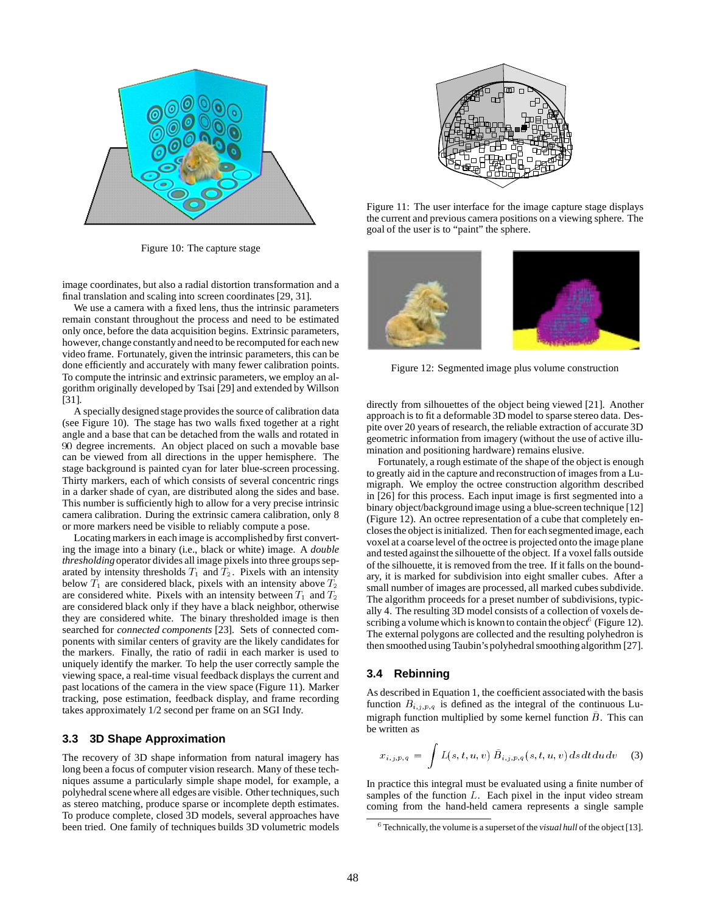

Figure 10: The capture stage

image coordinates, but also a radial distortion transformation and a final translation and scaling into screen coordinates [29, 31].

We use a camera with a fixed lens, thus the intrinsic parameters remain constant throughout the process and need to be estimated only once, before the data acquisition begins. Extrinsic parameters, however, change constantly and need to be recomputed for each new video frame. Fortunately, given the intrinsic parameters, this can be done efficiently and accurately with many fewer calibration points. To compute the intrinsic and extrinsic parameters, we employ an algorithm originally developed by Tsai [29] and extended by Willson [31].

A specially designed stage provides the source of calibration data (see Figure 10). The stage has two walls fixed together at a right angle and a base that can be detached from the walls and rotated in 90 degree increments. An object placed on such a movable base can be viewed from all directions in the upper hemisphere. The stage background is painted cyan for later blue-screen processing. Thirty markers, each of which consists of several concentric rings in a darker shade of cyan, are distributed along the sides and base. This number is sufficiently high to allow for a very precise intrinsic camera calibration. During the extrinsic camera calibration, only 8 or more markers need be visible to reliably compute a pose.

Locating markers in each image is accomplishedby first converting the image into a binary (i.e., black or white) image. A *double thresholding* operator divides all image pixels into three groups separated by intensity thresholds  $T_1$  and  $T_2$ . Pixels with an intensity below  $T_1$  are considered black, pixels with an intensity above  $T_2$ are considered white. Pixels with an intensity between  $T_1$  and  $T_2$ are considered black only if they have a black neighbor, otherwise they are considered white. The binary thresholded image is then searched for *connected components* [23]. Sets of connected components with similar centers of gravity are the likely candidates for the markers. Finally, the ratio of radii in each marker is used to uniquely identify the marker. To help the user correctly sample the viewing space, a real-time visual feedback displays the current and past locations of the camera in the view space (Figure 11). Marker tracking, pose estimation, feedback display, and frame recording takes approximately 1/2 second per frame on an SGI Indy.

## **3.3 3D Shape Approximation**

The recovery of 3D shape information from natural imagery has long been a focus of computer vision research. Many of these techniques assume a particularly simple shape model, for example, a polyhedral scenewhere all edgesare visible. Other techniques, such as stereo matching, produce sparse or incomplete depth estimates. To produce complete, closed 3D models, several approaches have been tried. One family of techniques builds 3D volumetric models



Figure 11: The user interface for the image capture stage displays the current and previous camera positions on a viewing sphere. The goal of the user is to "paint" the sphere.



Figure 12: Segmented image plus volume construction

directly from silhouettes of the object being viewed [21]. Another approach is to fit a deformable 3D model to sparse stereo data. Despite over 20 years of research, the reliable extraction of accurate 3D geometric information from imagery (without the use of active illumination and positioning hardware) remains elusive.

Fortunately, a rough estimate of the shape of the object is enough to greatly aid in the capture and reconstruction of images from a Lumigraph. We employ the octree construction algorithm described in [26] for this process. Each input image is first segmented into a binary object/background image using a blue-screen technique [12] (Figure 12). An octree representation of a cube that completely encloses the object is initialized. Then for each segmentedimage, each voxel at a coarse level of the octree is projected onto the image plane and tested against the silhouette of the object. If a voxel falls outside of the silhouette, it is removed from the tree. If it falls on the boundary, it is marked for subdivision into eight smaller cubes. After a small number of images are processed, all marked cubes subdivide. The algorithm proceeds for a preset number of subdivisions, typically 4. The resulting 3D model consists of a collection of voxels describing a volume which is known to contain the object $^6$  (Figure 12). The external polygons are collected and the resulting polyhedron is then smoothed using Taubin's polyhedral smoothing algorithm [27].

## **3.4 Rebinning**

As described in Equation 1, the coefficient associated with the basis function  $B_{i,j,p,q}$  is defined as the integral of the continuous Lumigraph function multiplied by some kernel function  $B$ . This can be written as

$$
x_{i,j,p,q} = \int L(s,t,u,v) \tilde{B}_{i,j,p,q}(s,t,u,v) \, ds \, dt \, du \, dv \qquad (3)
$$

In practice this integral must be evaluated using a finite number of samples of the function  $L$ . Each pixel in the input video stream coming from the hand-held camera represents a single sample

<sup>6</sup> Technically, the volume is a superset of the *visual hull* of the object [13].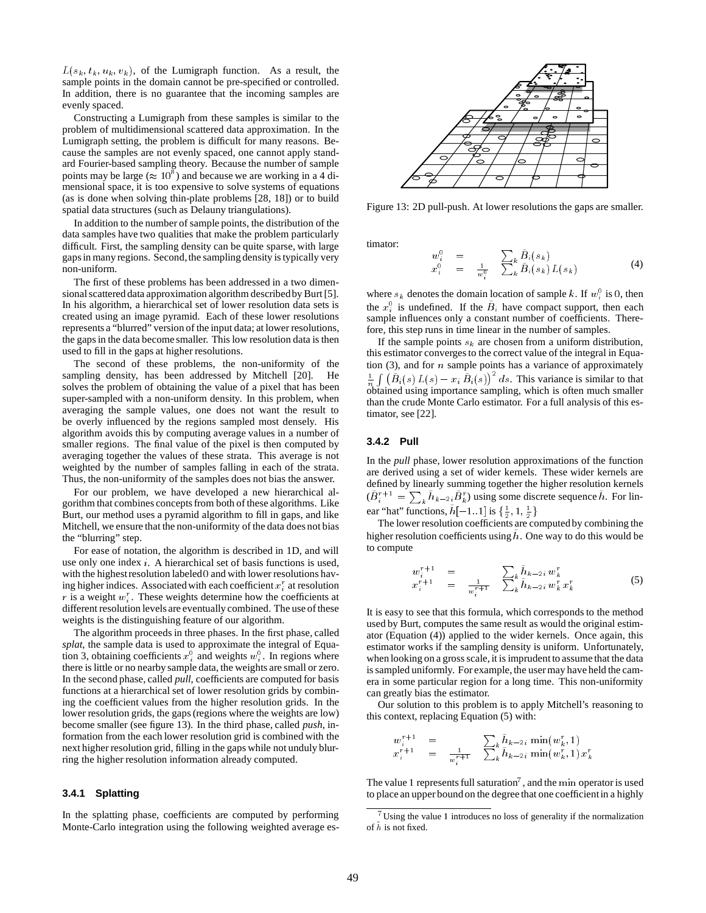$L(s_k, t_k, u_k, v_k)$ , of the Lumigraph function. As a result, the sample points in the domain cannot be pre-specified or controlled. In addition, there is no guarantee that the incoming samples are evenly spaced.

Constructing a Lumigraph from these samples is similar to the problem of multidimensional scattered data approximation. In the Lumigraph setting, the problem is difficult for many reasons. Because the samples are not evenly spaced, one cannot apply standard Fourier-based sampling theory. Because the number of sample points may be large ( $\approx 10^8$ ) and because we are working in a 4 dimensional space, it is too expensive to solve systems of equations (as is done when solving thin-plate problems [28, 18]) or to build spatial data structures (such as Delauny triangulations).

In addition to the number of sample points, the distribution of the data samples have two qualities that make the problem particularly difficult. First, the sampling density can be quite sparse, with large gaps in many regions. Second, the sampling density is typically very non-uniform.

The first of these problems has been addressed in a two dimensional scattered data approximation algorithm describedby Burt [5]. In his algorithm, a hierarchical set of lower resolution data sets is created using an image pyramid. Each of these lower resolutions represents a "blurred" version of the input data; at lower resolutions, the gaps in the data become smaller. This low resolution data is then used to fill in the gaps at higher resolutions.

The second of these problems, the non-uniformity of the sampling density, has been addressed by Mitchell [20]. He solves the problem of obtaining the value of a pixel that has been super-sampled with a non-uniform density. In this problem, when averaging the sample values, one does not want the result to be overly influenced by the regions sampled most densely. His algorithm avoids this by computing average values in a number of smaller regions. The final value of the pixel is then computed by averaging together the values of these strata. This average is not weighted by the number of samples falling in each of the strata. Thus, the non-uniformity of the samples does not bias the answer.

For our problem, we have developed a new hierarchical algorithm that combines concepts from both of these algorithms. Like Burt, our method uses a pyramid algorithm to fill in gaps, and like Mitchell, we ensure that the non-uniformity of the data does not bias the "blurring" step.

For ease of notation, the algorithm is described in 1D, and will use only one index <sup>i</sup>. A hierarchical set of basis functions is used, with the highestresolution labeled <sup>0</sup> and with lower resolutions having higher indices. Associated with each coefficient  $x_i^r$  at resolution r is a weight  $w_i^r$ . These weights determine how the coefficients at different resolution levels are eventually combined. The use of these weights is the distinguishing feature of our algorithm.

The algorithm proceeds in three phases. In the first phase, called *splat*, the sample data is used to approximate the integral of Equation 3, obtaining coefficients  $x_i^0$  and weights  $w_i^0$ . In regions where there is little or no nearby sample data, the weights are small or zero. In the second phase, called *pull*, coefficients are computed for basis functions at a hierarchical set of lower resolution grids by combining the coefficient values from the higher resolution grids. In the lower resolution grids, the gaps (regions where the weights are low) become smaller (see figure 13). In the third phase, called *push*, information from the each lower resolution grid is combined with the next higher resolution grid, filling in the gaps while not unduly blurring the higher resolution information already computed.

#### **3.4.1 Splatting**

In the splatting phase, coefficients are computed by performing Monte-Carlo integration using the following weighted average es-



Figure 13: 2D pull-push. At lower resolutions the gaps are smaller.

timator:

$$
w_i^0 = \sum_k \tilde{B}_i(s_k)
$$
  

$$
x_i^0 = \frac{1}{w_i^0} \sum_k \tilde{B}_i(s_k) L(s_k)
$$
 (4)

where  $s_k$  denotes the domain location of sample k. If  $w_i^0$  is 0, then the  $x_i^0$  is undefined. If the  $B_i$  have compact support, then each sample influences only a constant number of coefficients. Therefore, this step runs in time linear in the number of samples.

If the sample points  $s_k$  are chosen from a uniform distribution, this estimator converges to the correct value of the integral in Equation  $(3)$ , and for *n* sample points has a variance of approximately  $\frac{1}{n}\int (\hat{B}_i(s) L(s) - x_i \hat{B}_i(s))^2 ds$ . This variance is similar to that obtained using importance sampling, which is often much smaller than the crude Monte Carlo estimator. For a full analysis of this estimator, see [22].

#### **3.4.2 Pull**

In the *pull* phase, lower resolution approximations of the function are derived using a set of wider kernels. These wider kernels are defined by linearly summing together the higher resolution kernels  $(\dot{B}_{i}^{r+1} = \sum_{k} h_{k-2i} \dot{B}_{k}^{r})$  using some discrete sequence  $h$ . For linear "hat" functions,  $h[-1..1]$  is  $\{\frac{1}{2}, 1, \frac{1}{2}\}$ 

The lower resolution coefficients are computed by combining the higher resolution coefficients using  $h$ . One way to do this would be to compute

$$
w_i^{r+1} = \sum_{w_i^{r+1}} \tilde{h}_{k-2i} w_k^r
$$
  

$$
x_i^{r+1} = \frac{1}{w_i^{r+1}} \sum_k \tilde{h}_{k-2i} w_k^r x_k^r
$$
 (5)

It is easy to see that this formula, which corresponds to the method used by Burt, computes the same result as would the original estimator (Equation (4)) applied to the wider kernels. Once again, this estimator works if the sampling density is uniform. Unfortunately, when looking on a gross scale, it is imprudent to assume that the data is sampled uniformly. For example, the user may have held the camera in some particular region for a long time. This non-uniformity can greatly bias the estimator.

Our solution to this problem is to apply Mitchell's reasoning to this context, replacing Equation (5) with:

$$
w_i^{r+1} = \sum_{w_i^{r+1}} \hat{h}_{k-2i} \min(w_k^r, 1) \newline w_i^{r+1} = \frac{1}{w_i^{r+1}} \sum_{k} \hat{h}_{k-2i} \min(w_k^r, 1) x_k^r
$$

The value 1 represents full saturation<sup> $\tau$ </sup>, and the min operator is used to place an upper bound on the degree that one coefficientin a highly

<sup>7</sup> Using the value <sup>1</sup> introduces no loss of generality if the normalization of  $\bar{h}$  is not fixed.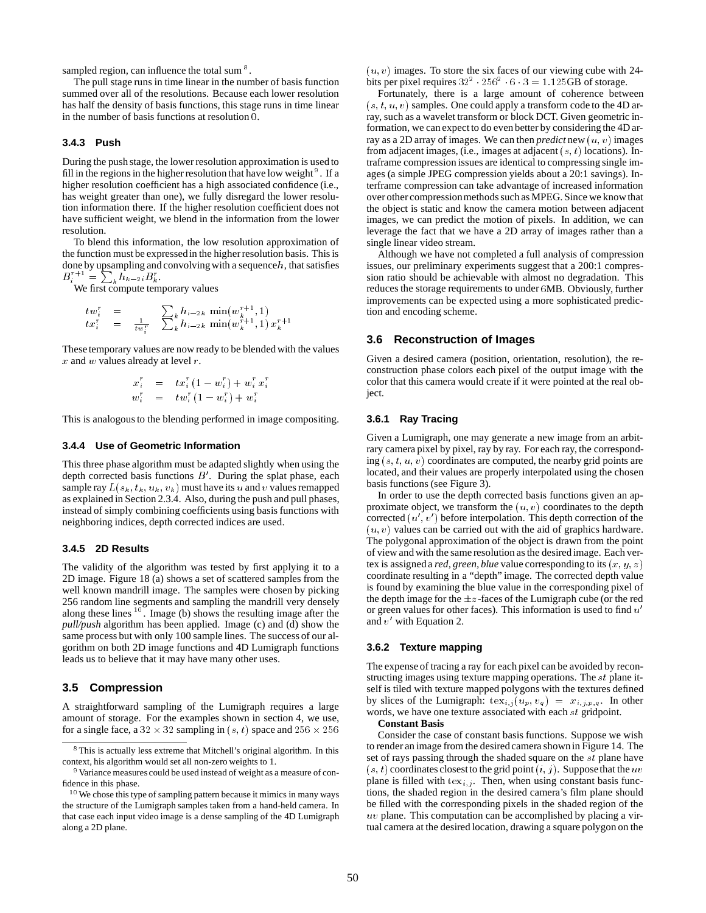sampled region, can influence the total sum <sup>8</sup>.

The pull stage runs in time linear in the number of basis function summed over all of the resolutions. Because each lower resolution has half the density of basis functions, this stage runs in time linear in the number of basis functions at resolution <sup>0</sup>.

### **3.4.3 Push**

During the push stage, the lower resolution approximation is used to fill in the regions in the higher resolution that have low weight <sup>9</sup>. If a higher resolution coefficient has a high associated confidence (i.e., has weight greater than one), we fully disregard the lower resolution information there. If the higher resolution coefficient does not have sufficient weight, we blend in the information from the lower resolution.

To blend this information, the low resolution approximation of the function must be expressedin the higher resolution basis. This is done by upsampling and convolving with a sequence  $h$ , that satisfies  $B_i^{r+1} = \sum_k h_{k-2i} B_k^r.$ 

We first compute temporary values

$$
tw_i^r = \sum_{tw_i^r} k h_{i-2k} \min(w_k^{r+1}, 1)
$$
  

$$
tx_i^r = \frac{1}{tw_i^r} \sum_{k} k h_{i-2k} \min(w_k^{r+1}, 1) x_k^{r+1}
$$

These temporary values are now ready to be blended with the values  $x$  and  $w$  values already at level  $r$ .

$$
\begin{array}{rcl} x_i^r & = & tx_i^r \left( 1 - w_i^r \right) + w_i^r \, x_i^r \\ w_i^r & = & tw_i^r \left( 1 - w_i^r \right) + w_i^r \end{array}
$$

This is analogous to the blending performed in image compositing.

#### **3.4.4 Use of Geometric Information**

This three phase algorithm must be adapted slightly when using the depth corrected basis functions  $B'$ . During the splat phase, each sample ray  $L(s_k, t_k, u_k, v_k)$  must have its u and v values remapped as explained in Section 2.3.4. Also, during the push and pull phases, instead of simply combining coefficients using basis functions with neighboring indices, depth corrected indices are used.

## **3.4.5 2D Results**

The validity of the algorithm was tested by first applying it to a 2D image. Figure 18 (a) shows a set of scattered samples from the well known mandrill image. The samples were chosen by picking 256 random line segments and sampling the mandrill very densely along these lines  $10^{\circ}$ . Image (b) shows the resulting image after the *pull/push* algorithm has been applied. Image (c) and (d) show the same process but with only 100 sample lines. The success of our algorithm on both 2D image functions and 4D Lumigraph functions leads us to believe that it may have many other uses.

## **3.5 Compression**

A straightforward sampling of the Lumigraph requires a large amount of storage. For the examples shown in section 4, we use, for a single face, a 32  $\times$  32 sampling in  $(s, t)$  space and 256  $\times$  256  $(u, v)$  images. To store the six faces of our viewing cube with 24bits per pixel requires  $32^2 \cdot 256^2 \cdot 6 \cdot 3 = 1.125$  GB of storage.

Fortunately, there is a large amount of coherence between  $(s, t, u, v)$  samples. One could apply a transform code to the 4D array, such as a wavelet transform or block DCT. Given geometric information, we can expect to do even better by considering the 4D array as a 2D array of images. We can then *predict* new  $(u, v)$  images from adjacent images, (i.e., images at adjacent  $(s, t)$  locations). Intraframe compression issues are identical to compressing single images (a simple JPEG compression yields about a 20:1 savings). Interframe compression can take advantage of increased information over other compressionmethods such as MPEG. Since we know that the object is static and know the camera motion between adjacent images, we can predict the motion of pixels. In addition, we can leverage the fact that we have a 2D array of images rather than a single linear video stream.

Although we have not completed a full analysis of compression issues, our preliminary experiments suggest that a 200:1 compression ratio should be achievable with almost no degradation. This reduces the storage requirements to under <sup>6</sup>MB. Obviously, further improvements can be expected using a more sophisticated prediction and encoding scheme.

### **3.6 Reconstruction of Images**

Given a desired camera (position, orientation, resolution), the reconstruction phase colors each pixel of the output image with the color that this camera would create if it were pointed at the real object.

### **3.6.1 Ray Tracing**

Given a Lumigraph, one may generate a new image from an arbitrary camera pixel by pixel, ray by ray. For each ray, the corresponding  $(s, t, u, v)$  coordinates are computed, the nearby grid points are located, and their values are properly interpolated using the chosen basis functions (see Figure 3).

In order to use the depth corrected basis functions given an approximate object, we transform the  $(u, v)$  coordinates to the depth corrected  $(u', v')$  before interpolation. This depth correction of the  $(u, v)$  values can be carried out with the aid of graphics hardware. The polygonal approximation of the object is drawn from the point of view and with the same resolution as the desired image. Each vertex is assigned a *red, green, blue* value corresponding to its  $(x, y, z)$ coordinate resulting in a "depth" image. The corrected depth value is found by examining the blue value in the corresponding pixel of the depth image for the  $\pm z$ -faces of the Lumigraph cube (or the red or green values for other faces). This information is used to find  $u'$ and  $v'$  with Equation 2.

#### **3.6.2 Texture mapping**

The expense of tracing a ray for each pixel can be avoided by reconstructing images using texture mapping operations. The st plane itself is tiled with texture mapped polygons with the textures defined by slices of the Lumigraph:  $\tan(x_i, j(u_p, v_q)) = x_{i,j,p,q}$ . In other words, we have one texture associated with each st gridpoint.

#### **Constant Basis**

Consider the case of constant basis functions. Suppose we wish to render an image from the desired camera shown in Figure 14. The set of rays passing through the shaded square on the st plane have  $(s, t)$  coordinates closest to the grid point  $(i, j)$ . Suppose that the uv plane is filled with tex<sub>i</sub>,. Then, when using constant basis functions, the shaded region in the desired camera's film plane should be filled with the corresponding pixels in the shaded region of the  $uv$  plane. This computation can be accomplished by placing a virtual camera at the desired location, drawing a square polygon on the

<sup>&</sup>lt;sup>8</sup>This is actually less extreme that Mitchell's original algorithm. In this context, his algorithm would set all non-zero weights to 1.

<sup>&</sup>lt;sup>9</sup> Variance measures could be used instead of weight as a measure of confidence in this phase.

 $10$  We chose this type of sampling pattern because it mimics in many ways the structure of the Lumigraph samples taken from a hand-held camera. In that case each input video image is a dense sampling of the 4D Lumigraph along a 2D plane.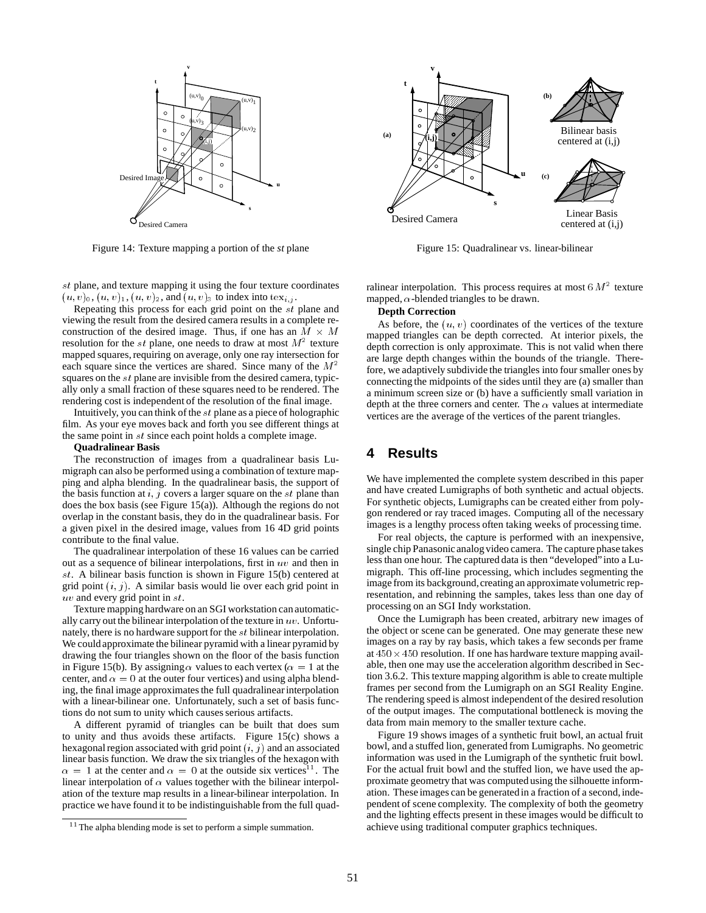

Figure 14: Texture mapping a portion of the *st* plane

 $st$  plane, and texture mapping it using the four texture coordinates  $(u, v)_0$ ,  $(u, v)_1$ ,  $(u, v)_2$ , and  $(u, v)_3$  to index into tex<sub>i,j</sub>.

Repeating this process for each grid point on the  $st$  plane and viewing the result from the desired camera results in a complete reconstruction of the desired image. Thus, if one has an  $M \times M$ resolution for the st plane, one needs to draw at most  $M^2$  texture mapped squares, requiring on average, only one ray intersection for each square since the vertices are shared. Since many of the  $M<sup>2</sup>$ squares on the st plane are invisible from the desired camera, typically only a small fraction of these squares need to be rendered. The rendering cost is independent of the resolution of the final image.

Intuitively, you can think of the st plane as a piece of holographic film. As your eye moves back and forth you see different things at the same point in  $st$  since each point holds a complete image.

#### **Quadralinear Basis**

The reconstruction of images from a quadralinear basis Lumigraph can also be performed using a combination of texture mapping and alpha blending. In the quadralinear basis, the support of the basis function at  $i$ ,  $j$  covers a larger square on the st plane than does the box basis (see Figure 15(a)). Although the regions do not overlap in the constant basis, they do in the quadralinear basis. For a given pixel in the desired image, values from 16 4D grid points contribute to the final value.

The quadralinear interpolation of these 16 values can be carried out as a sequence of bilinear interpolations, first in uv and then in st. A bilinear basis function is shown in Figure 15(b) centered at grid point  $(i, j)$ . A similar basis would lie over each grid point in  $uv$  and every grid point in  $st$ .

Texture mapping hardware on an SGI workstation can automatically carry out the bilinear interpolation of the texture in  $uv$ . Unfortunately, there is no hardware support for the st bilinear interpolation. We could approximate the bilinear pyramid with a linear pyramid by drawing the four triangles shown on the floor of the basis function in Figure 15(b). By assigning  $\alpha$  values to each vertex ( $\alpha = 1$  at the center, and  $\alpha = 0$  at the outer four vertices) and using alpha blending, the final image approximates the full quadralinear interpolation with a linear-bilinear one. Unfortunately, such a set of basis functions do not sum to unity which causes serious artifacts.

A different pyramid of triangles can be built that does sum to unity and thus avoids these artifacts. Figure 15(c) shows a hexagonal region associated with grid point  $(i, j)$  and an associated linear basis function. We draw the six triangles of the hexagon with  $\alpha = 1$  at the center and  $\alpha = 0$  at the outside six vertices<sup>11</sup>. The linear interpolation of  $\alpha$  values together with the bilinear interpolation of the texture map results in a linear-bilinear interpolation. In practice we have found it to be indistinguishable from the full quad-



Figure 15: Quadralinear vs. linear-bilinear

ralinear interpolation. This process requires at most  $6 M<sup>2</sup>$  texture mapped,  $\alpha$ -blended triangles to be drawn.

## **Depth Correction**

As before, the  $(u, v)$  coordinates of the vertices of the texture mapped triangles can be depth corrected. At interior pixels, the depth correction is only approximate. This is not valid when there are large depth changes within the bounds of the triangle. Therefore, we adaptively subdivide the triangles into four smaller ones by connecting the midpoints of the sides until they are (a) smaller than a minimum screen size or (b) have a sufficiently small variation in depth at the three corners and center. The  $\alpha$  values at intermediate vertices are the average of the vertices of the parent triangles.

## **4 Results**

We have implemented the complete system described in this paper and have created Lumigraphs of both synthetic and actual objects. For synthetic objects, Lumigraphs can be created either from polygon rendered or ray traced images. Computing all of the necessary images is a lengthy process often taking weeks of processing time.

For real objects, the capture is performed with an inexpensive, single chip Panasonicanalog video camera. The capture phase takes less than one hour. The captured data is then "developed"into a Lumigraph. This off-line processing, which includes segmenting the image from its background, creating an approximate volumetric representation, and rebinning the samples, takes less than one day of processing on an SGI Indy workstation.

Once the Lumigraph has been created, arbitrary new images of the object or scene can be generated. One may generate these new images on a ray by ray basis, which takes a few seconds per frame at  $450 \times 450$  resolution. If one has hardware texture mapping available, then one may use the acceleration algorithm described in Section 3.6.2. This texture mapping algorithm is able to create multiple frames per second from the Lumigraph on an SGI Reality Engine. The rendering speed is almost independent of the desired resolution of the output images. The computational bottleneck is moving the data from main memory to the smaller texture cache.

Figure 19 shows images of a synthetic fruit bowl, an actual fruit bowl, and a stuffed lion, generated from Lumigraphs. No geometric information was used in the Lumigraph of the synthetic fruit bowl. For the actual fruit bowl and the stuffed lion, we have used the approximate geometry that was computed using the silhouette information. These images can be generated in a fraction of a second, independent of scene complexity. The complexity of both the geometry and the lighting effects present in these images would be difficult to achieve using traditional computer graphics techniques.

 $11$ <sup>The alpha blending mode is set to perform a simple summation.</sup>